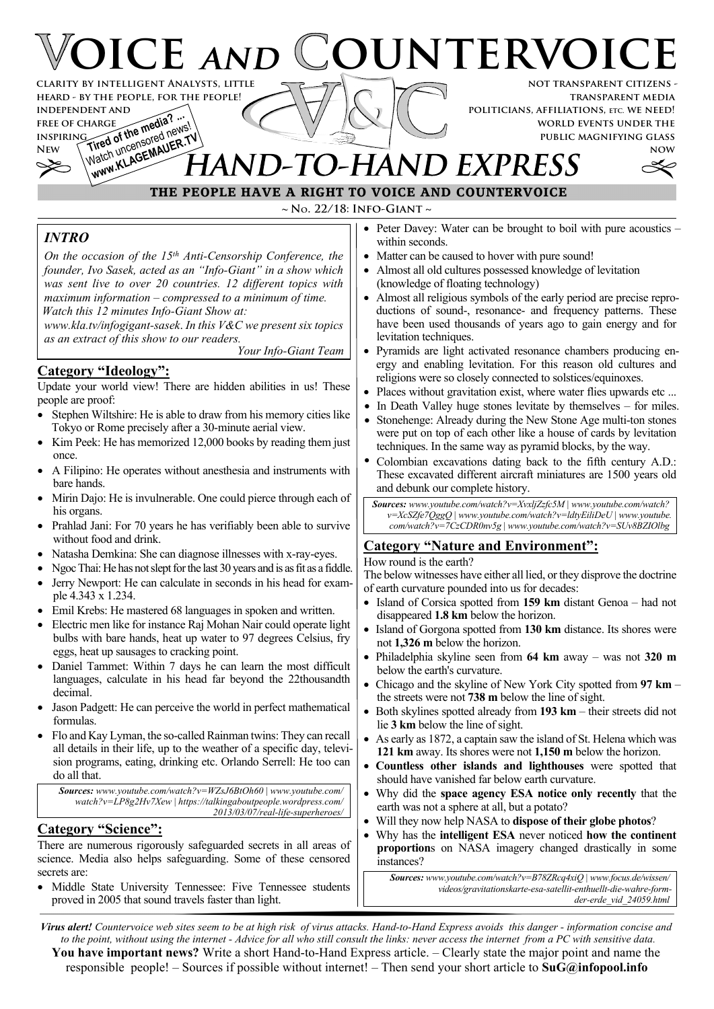# **OICE AND COUNTERVOIC not transparent citizens clarity by intelligent Analysts, little**

**transparent media politicians, affiliations, etc. we need! world events under the public magnifying glass**

**now**

## **INDEPENDENT AND<br>FREE OF CHARGE<br>INSPIRING and of the media?** FREE OF CHARGE **the media?** ... WWW.KLAGEMAUER.TV **IAND-TO-HAND EXPRESS**



*INTRO*

**free of charge inspiring**

*On the occasion of the 15th Anti-Censorship Conference, the founder, Ivo Sasek, acted as an "Info-Giant" in a show which was sent live to over 20 countries. 12 different topics with maximum information – compressed to a minimum of time. Watch this 12 minutes Info-Giant Show at:*

*www.kla.tv/infogigant-sasek*. *In this V&C we present six topics as an extract of this show to our readers.*

*Your Info-Giant Team*

#### **Category "Ideology":**

**heard - by the people, for the people!**

Update your world view! There are hidden abilities in us! These people are proof:

- Stephen Wiltshire: He is able to draw from his memory cities like Tokyo or Rome precisely after a 30-minute aerial view.
- Kim Peek: He has memorized 12,000 books by reading them just once.
- · A Filipino: He operates without anesthesia and instruments with bare hands.
- Mirin Dajo: He is invulnerable. One could pierce through each of his organs.
- Prahlad Jani: For 70 years he has verifiably been able to survive without food and drink.
- Natasha Demkina: She can diagnose illnesses with x-ray-eyes.
- Ngoc Thai: He has not slept for the last 30 years and is as fit as a fiddle.
- Jerry Newport: He can calculate in seconds in his head for example 4.343 x 1.234.
- Emil Krebs: He mastered 68 languages in spoken and written.
- Electric men like for instance Raj Mohan Nair could operate light bulbs with bare hands, heat up water to 97 degrees Celsius, fry eggs, heat up sausages to cracking point.
- Daniel Tammet: Within 7 days he can learn the most difficult languages, calculate in his head far beyond the 22thousandth decimal.
- Jason Padgett: He can perceive the world in perfect mathematical formulas.
- · Flo and Kay Lyman, the so-called Rainman twins: They can recall all details in their life, up to the weather of a specific day, television programs, eating, drinking etc. Orlando Serrell: He too can do all that.

*Sources: www.youtube.com/watch?v=WZsJ6BtOh60* | *www.youtube.com/ watch?v=LP8g2Hv7Xew* | *https://talkingaboutpeople.wordpress.com/ 2013/03/07/real-life-superheroes/*

### **Category "Science":**

There are numerous rigorously safeguarded secrets in all areas of science. Media also helps safeguarding. Some of these censored secrets are:

Middle State University Tennessee: Five Tennessee students proved in 2005 that sound travels faster than light.

- · Peter Davey: Water can be brought to boil with pure acoustics within seconds.
- Matter can be caused to hover with pure sound!
- · Almost all old cultures possessed knowledge of levitation (knowledge of floating technology)
- Almost all religious symbols of the early period are precise reproductions of sound-, resonance- and frequency patterns. These have been used thousands of years ago to gain energy and for levitation techniques.
- · Pyramids are light activated resonance chambers producing energy and enabling levitation. For this reason old cultures and religions were so closely connected to solstices/equinoxes.
- Places without gravitation exist, where water flies upwards etc ...
- In Death Valley huge stones levitate by themselves for miles.
- Stonehenge: Already during the New Stone Age multi-ton stones were put on top of each other like a house of cards by levitation techniques. In the same way as pyramid blocks, by the way.
- Colombian excavations dating back to the fifth century A.D.: These excavated different aircraft miniatures are 1500 years old and debunk our complete history.

*Sources: www.youtube.com/watch?v=XvxljZzfc5M* | *www.youtube.com/watch? v=XcSZfe7QggQ* | *www.youtube.com/watch?v=ldtyEiliDeU* | *www.youtube. com/watch?v=7CzCDR0nv5g* | *www.youtube.com/watch?v=SUv8BZIOlbg*

#### **Category "Nature and Environment":**

How round is the earth?

The below witnesses have either all lied, or they disprove the doctrine of earth curvature pounded into us for decades:

- · Island of Corsica spotted from **159 km** distant Genoa had not disappeared **1.8 km** below the horizon.
- Island of Gorgona spotted from 130 km distance. Its shores were not **1,326 m** below the horizon.
- · Philadelphia skyline seen from **64 km** away was not **320 m** below the earth's curvature.
- · Chicago and the skyline of New York City spotted from **97 km** the streets were not **738 m** below the line of sight.
- · Both skylines spotted already from **193 km** their streets did not lie **3 km** below the line of sight.
- As early as 1872, a captain saw the island of St. Helena which was **121 km** away. Its shores were not **1,150 m** below the horizon.
- · **Countless other islands and lighthouses** were spotted that should have vanished far below earth curvature.
- · Why did the **space agency ESA notice only recently** that the earth was not a sphere at all, but a potato?
- · Will they now help NASA to **dispose of their globe photos**?
- · Why has the **intelligent ESA** never noticed **how the continent proportion**s on NASA imagery changed drastically in some instances?

*Sources: www.youtube.com/watch?v=B78ZRcq4xiQ | www.focus.de/wissen/ videos/gravitationskarte-esa-satellit-enthuellt-die-wahre-formder-erde\_vid\_24059.html*

*Virus alert! Countervoice web sites seem to be at high risk of virus attacks. Hand-to-Hand Express avoids this danger - information concise and to the point, without using the internet - Advice for all who still consult the links: never access the internet from a PC with sensitive data.* **You have important news?** Write a short Hand-to-Hand Express article. – Clearly state the major point and name the responsible people! – Sources if possible without internet! – Then send your short article to **SuG@infopool.info**